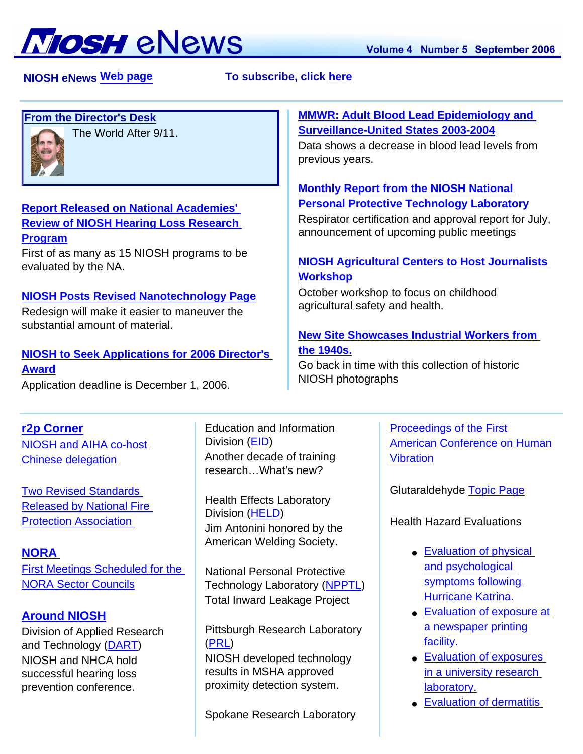

 **NIOSH eNewsTo subscribe, click [here](http://www.cdc.gov/niosh/enews/) Web page**

# **[From the Director's Desk](#page-1-0)**



The World After 9/11.

## **[Report Released on National Academies'](#page-2-0)  [Review of NIOSH Hearing Loss Research](#page-2-0)  [Program](#page-2-0)**

First of as many as 15 NIOSH programs to be evaluated by the NA.

## **[NIOSH Posts Revised Nanotechnology Page](#page-2-1)**

Redesign will make it easier to maneuver the substantial amount of material.

### **[NIOSH to Seek Applications for 2006 Director's](#page-2-2)  [Award](#page-2-2)**

Application deadline is December 1, 2006.

## **[r2p Corner](#page-4-1)**

[NIOSH and AIHA co-host](#page-4-2)  [Chinese delegation](#page-4-2)

[Two Revised Standards](#page-4-3)  [Released by National Fire](#page-4-3) [Protection Association](#page-4-3)

**[NORA](#page-4-4)**  [First Meetings Scheduled for the](#page-4-5) [NORA Sector Councils](#page-4-5)

# **[Around NIOSH](#page-5-0)**

Division of Applied Research and Technology [\(DART\)](#page-5-1) NIOSH and NHCA hold successful hearing loss prevention conference.

Education and Information Division [\(EID\)](#page-6-0) Another decade of training research…What's new?

Health Effects Laboratory Division [\(HELD](#page-6-1)) Jim Antonini honored by the American Welding Society.

National Personal Protective Technology Laboratory ([NPPTL\)](#page-6-2) Total Inward Leakage Project

Pittsburgh Research Laboratory [\(PRL\)](#page-6-3)

NIOSH developed technology results in MSHA approved proximity detection system.

Spokane Research Laboratory

## **[MMWR: Adult Blood Lead Epidemiology and](#page-2-3) [Surveillance-United States 2003-2004](#page-2-3)**

Data shows a decrease in blood lead levels from previous years.

# **[Monthly Report from the NIOSH National](#page-3-0)  [Personal Protective Technology Laboratory](#page-3-0)**

Respirator certification and approval report for July, announcement of upcoming public meetings

# **[NIOSH Agricultural Centers to Host Journalists](#page-3-1) [Workshop](#page-3-1)**

October workshop to focus on childhood agricultural safety and health.

# **[New Site Showcases Industrial Workers from](#page-4-0) [the 1940s.](#page-4-0)**

Go back in time with this collection of historic NIOSH photographs

> [Proceedings of the First](#page-7-0)  [American Conference on Human](#page-7-0)  [Vibration](#page-7-0)

Glutaraldehyde [Topic Page](#page-7-1)

Health Hazard Evaluations

- Evaluation of physical [and psychological](#page-7-2)  [symptoms following](#page-7-2)  [Hurricane Katrina.](#page-7-2)
- Evaluation of exposure at [a newspaper printing](#page-7-3) [facility.](#page-7-3)
- [Evaluation of exposures](#page-8-0) [in a university research](#page-8-0)  [laboratory.](#page-8-0)
- [Evaluation of dermatitis](#page-8-1)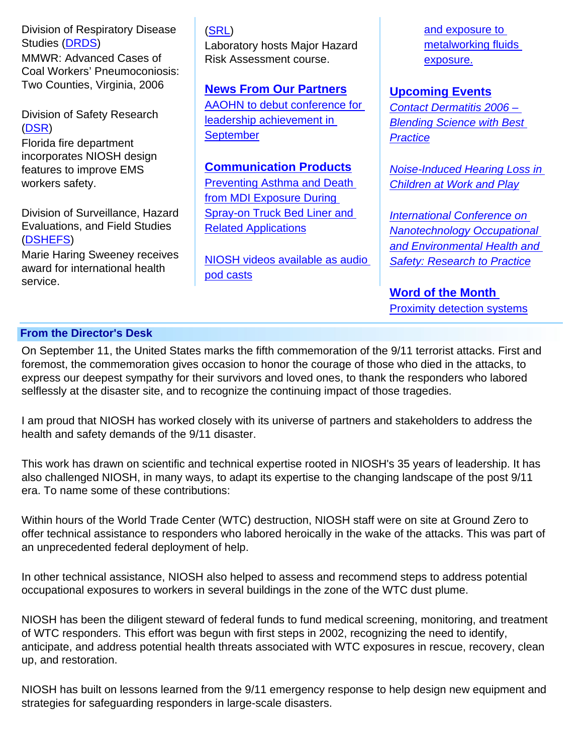Division of Respiratory Disease Studies ([DRDS\)](#page-5-2) MMWR: Advanced Cases of Coal Workers' Pneumoconiosis: Two Counties, Virginia, 2006

Division of Safety Research ([DSR](#page-5-3))

Florida fire department incorporates NIOSH design features to improve EMS workers safety.

Division of Surveillance, Hazard Evaluations, and Field Studies ([DSHEFS\)](#page-6-4)

Marie Haring Sweeney receives award for international health service.

#### [\(SRL\)](#page-6-5)

Laboratory hosts Major Hazard Risk Assessment course.

**[News From Our Partners](#page-7-4)**

[AAOHN to debut conference for](#page-7-5) [leadership achievement in](#page-7-5) **[September](#page-7-5)** 

**[Communication Products](#page-8-2)**

[Preventing Asthma and Death](#page-7-6) [from MDI Exposure During](#page-7-6)  [Spray-on Truck Bed Liner and](#page-7-6) [Related Applications](#page-7-6)

[NIOSH videos available as audio](#page-7-7) [pod casts](#page-7-7)

[and exposure to](#page-8-1)  [metalworking fluids](#page-8-1) [exposure.](#page-8-1)

**[Upcoming Events](#page-8-3)**

*[Contact Dermatitis 2006 –](#page-8-4)  [Blending Science with Best](#page-8-4)  [Practice](#page-8-4)*

*[Noise-Induced Hearing Loss in](#page-8-5) [Children at Work and Play](#page-8-5)*

*[International Conference on](#page-8-6)  [Nanotechnology Occupational](#page-8-6) [and Environmental Health and](#page-8-6)  [Safety: Research to Practice](#page-8-6)*

**[Word of the Month](#page-8-2)**  [Proximity detection systems](#page-8-7)

### <span id="page-1-0"></span> **From the Director's Desk**

On September 11, the United States marks the fifth commemoration of the 9/11 terrorist attacks. First and foremost, the commemoration gives occasion to honor the courage of those who died in the attacks, to express our deepest sympathy for their survivors and loved ones, to thank the responders who labored selflessly at the disaster site, and to recognize the continuing impact of those tragedies.

I am proud that NIOSH has worked closely with its universe of partners and stakeholders to address the health and safety demands of the 9/11 disaster.

This work has drawn on scientific and technical expertise rooted in NIOSH's 35 years of leadership. It has also challenged NIOSH, in many ways, to adapt its expertise to the changing landscape of the post 9/11 era. To name some of these contributions:

Within hours of the World Trade Center (WTC) destruction, NIOSH staff were on site at Ground Zero to offer technical assistance to responders who labored heroically in the wake of the attacks. This was part of an unprecedented federal deployment of help.

In other technical assistance, NIOSH also helped to assess and recommend steps to address potential occupational exposures to workers in several buildings in the zone of the WTC dust plume.

NIOSH has been the diligent steward of federal funds to fund medical screening, monitoring, and treatment of WTC responders. This effort was begun with first steps in 2002, recognizing the need to identify, anticipate, and address potential health threats associated with WTC exposures in rescue, recovery, clean up, and restoration.

NIOSH has built on lessons learned from the 9/11 emergency response to help design new equipment and strategies for safeguarding responders in large-scale disasters.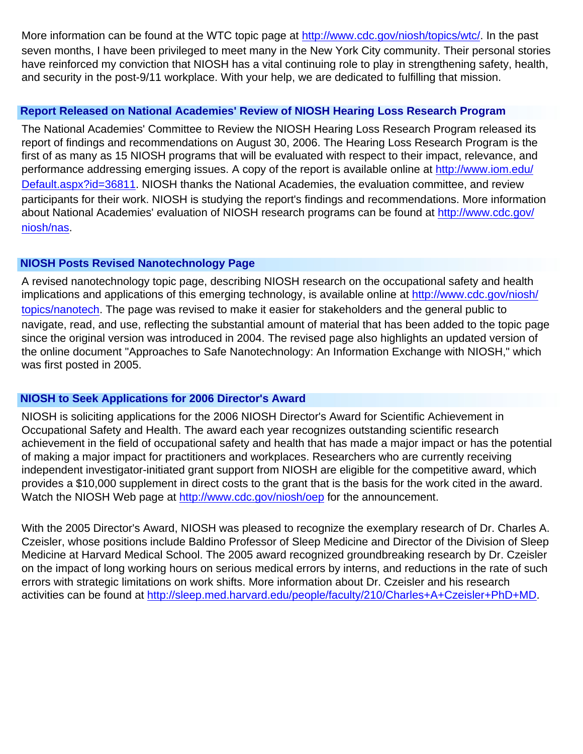More information can be found at the WTC topic page at<http://www.cdc.gov/niosh/topics/wtc/>. In the past seven months, I have been privileged to meet many in the New York City community. Their personal stories have reinforced my conviction that NIOSH has a vital continuing role to play in strengthening safety, health, and security in the post-9/11 workplace. With your help, we are dedicated to fulfilling that mission.

## <span id="page-2-0"></span> **Report Released on National Academies' Review of NIOSH Hearing Loss Research Program**

The National Academies' Committee to Review the NIOSH Hearing Loss Research Program released its report of findings and recommendations on August 30, 2006. The Hearing Loss Research Program is the first of as many as 15 NIOSH programs that will be evaluated with respect to their impact, relevance, and performance addressing emerging issues. A copy of the report is available online at [http://www.iom.edu/](http://www.iom.edu/Default.aspx?id=36811) [Default.aspx?id=36811.](http://www.iom.edu/Default.aspx?id=36811) NIOSH thanks the National Academies, the evaluation committee, and review participants for their work. NIOSH is studying the report's findings and recommendations. More information about National Academies' evaluation of NIOSH research programs can be found at [http://www.cdc.gov/](http://www.cdc.gov/niosh/nas) [niosh/nas.](http://www.cdc.gov/niosh/nas)

## <span id="page-2-1"></span> **NIOSH Posts Revised Nanotechnology Page**

A revised nanotechnology topic page, describing NIOSH research on the occupational safety and health implications and applications of this emerging technology, is available online at [http://www.cdc.gov/niosh/](http://www.cdc.gov/niosh/topics/nanotech) [topics/nanotech.](http://www.cdc.gov/niosh/topics/nanotech) The page was revised to make it easier for stakeholders and the general public to navigate, read, and use, reflecting the substantial amount of material that has been added to the topic page since the original version was introduced in 2004. The revised page also highlights an updated version of the online document "Approaches to Safe Nanotechnology: An Information Exchange with NIOSH," which was first posted in 2005.

## <span id="page-2-2"></span> **NIOSH to Seek Applications for 2006 Director's Award**

NIOSH is soliciting applications for the 2006 NIOSH Director's Award for Scientific Achievement in Occupational Safety and Health. The award each year recognizes outstanding scientific research achievement in the field of occupational safety and health that has made a major impact or has the potential of making a major impact for practitioners and workplaces. Researchers who are currently receiving independent investigator-initiated grant support from NIOSH are eligible for the competitive award, which provides a \$10,000 supplement in direct costs to the grant that is the basis for the work cited in the award. Watch the NIOSH Web page at<http://www.cdc.gov/niosh/oep>for the announcement.

<span id="page-2-3"></span>With the 2005 Director's Award, NIOSH was pleased to recognize the exemplary research of Dr. Charles A. Czeisler, whose positions include Baldino Professor of Sleep Medicine and Director of the Division of Sleep Medicine at Harvard Medical School. The 2005 award recognized groundbreaking research by Dr. Czeisler on the impact of long working hours on serious medical errors by interns, and reductions in the rate of such errors with strategic limitations on work shifts. More information about Dr. Czeisler and his research activities can be found at [http://sleep.med.harvard.edu/people/faculty/210/Charles+A+Czeisler+PhD+MD.](http://sleep.med.harvard.edu/people/faculty/210/Charles+A+Czeisler+PhD+MD)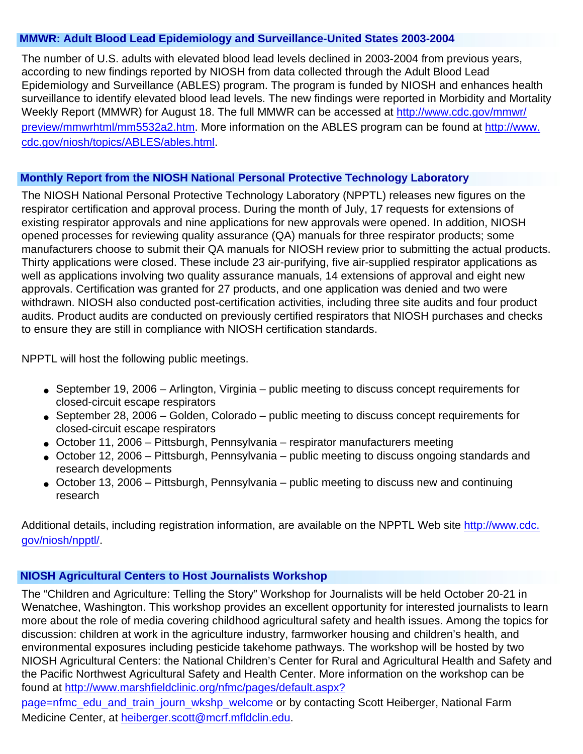### **MMWR: Adult Blood Lead Epidemiology and Surveillance-United States 2003-2004**

The number of U.S. adults with elevated blood lead levels declined in 2003-2004 from previous years, according to new findings reported by NIOSH from data collected through the Adult Blood Lead Epidemiology and Surveillance (ABLES) program. The program is funded by NIOSH and enhances health surveillance to identify elevated blood lead levels. The new findings were reported in Morbidity and Mortality Weekly Report (MMWR) for August 18. The full MMWR can be accessed at [http://www.cdc.gov/mmwr/](http://www.cdc.gov/mmwr/preview/mmwrhtml/mm5532a2.htm) [preview/mmwrhtml/mm5532a2.htm.](http://www.cdc.gov/mmwr/preview/mmwrhtml/mm5532a2.htm) More information on the ABLES program can be found at [http://www.](http://www.cdc.gov/niosh/topics/ABLES/ables.html) [cdc.gov/niosh/topics/ABLES/ables.html.](http://www.cdc.gov/niosh/topics/ABLES/ables.html)

## <span id="page-3-0"></span> **Monthly Report from the NIOSH National Personal Protective Technology Laboratory**

The NIOSH National Personal Protective Technology Laboratory (NPPTL) releases new figures on the respirator certification and approval process. During the month of July, 17 requests for extensions of existing respirator approvals and nine applications for new approvals were opened. In addition, NIOSH opened processes for reviewing quality assurance (QA) manuals for three respirator products; some manufacturers choose to submit their QA manuals for NIOSH review prior to submitting the actual products. Thirty applications were closed. These include 23 air-purifying, five air-supplied respirator applications as well as applications involving two quality assurance manuals, 14 extensions of approval and eight new approvals. Certification was granted for 27 products, and one application was denied and two were withdrawn. NIOSH also conducted post-certification activities, including three site audits and four product audits. Product audits are conducted on previously certified respirators that NIOSH purchases and checks to ensure they are still in compliance with NIOSH certification standards.

NPPTL will host the following public meetings.

- September 19, 2006 Arlington, Virginia public meeting to discuss concept requirements for closed-circuit escape respirators
- September 28, 2006 Golden, Colorado public meeting to discuss concept requirements for closed-circuit escape respirators
- October 11, 2006 Pittsburgh, Pennsylvania respirator manufacturers meeting
- October 12, 2006 Pittsburgh, Pennsylvania public meeting to discuss ongoing standards and research developments
- $\bullet$  October 13, 2006 Pittsburgh, Pennsylvania public meeting to discuss new and continuing research

Additional details, including registration information, are available on the NPPTL Web site [http://www.cdc.](http://www.cdc.gov/niosh/npptl/) [gov/niosh/npptl/.](http://www.cdc.gov/niosh/npptl/)

## <span id="page-3-1"></span> **NIOSH Agricultural Centers to Host Journalists Workshop**

The "Children and Agriculture: Telling the Story" Workshop for Journalists will be held October 20-21 in Wenatchee, Washington. This workshop provides an excellent opportunity for interested journalists to learn more about the role of media covering childhood agricultural safety and health issues. Among the topics for discussion: children at work in the agriculture industry, farmworker housing and children's health, and environmental exposures including pesticide takehome pathways. The workshop will be hosted by two NIOSH Agricultural Centers: the National Children's Center for Rural and Agricultural Health and Safety and the Pacific Northwest Agricultural Safety and Health Center. More information on the workshop can be found at [http://www.marshfieldclinic.org/nfmc/pages/default.aspx?](http://www.marshfieldclinic.org/nfmc/pages/default.aspx?page=nfmc_edu_and_train_journ_wkshp_welcome)

[page=nfmc\\_edu\\_and\\_train\\_journ\\_wkshp\\_welcome](http://www.marshfieldclinic.org/nfmc/pages/default.aspx?page=nfmc_edu_and_train_journ_wkshp_welcome) or by contacting Scott Heiberger, National Farm Medicine Center, at [heiberger.scott@mcrf.mfldclin.edu.](mailto:heiberger.scott@mcrf.mfldclin.edu)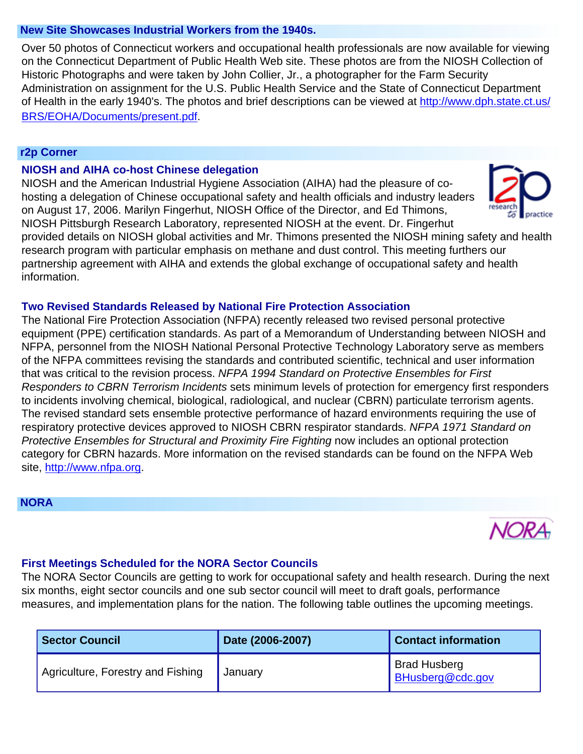#### <span id="page-4-0"></span> **New Site Showcases Industrial Workers from the 1940s.**

Over 50 photos of Connecticut workers and occupational health professionals are now available for viewing on the Connecticut Department of Public Health Web site. These photos are from the NIOSH Collection of Historic Photographs and were taken by John Collier, Jr., a photographer for the Farm Security Administration on assignment for the U.S. Public Health Service and the State of Connecticut Department of Health in the early 1940's. The photos and brief descriptions can be viewed at [http://www.dph.state.ct.us/](http://www.dph.state.ct.us/BRS/EOHA/Documents/present.pdf) [BRS/EOHA/Documents/present.pdf](http://www.dph.state.ct.us/BRS/EOHA/Documents/present.pdf).

#### <span id="page-4-1"></span> **r2p Corner**

#### **NIOSH and AIHA co-host Chinese delegation**

<span id="page-4-2"></span>NIOSH and the American Industrial Hygiene Association (AIHA) had the pleasure of cohosting a delegation of Chinese occupational safety and health officials and industry leaders on August 17, 2006. Marilyn Fingerhut, NIOSH Office of the Director, and Ed Thimons, NIOSH Pittsburgh Research Laboratory, represented NIOSH at the event. Dr. Fingerhut



provided details on NIOSH global activities and Mr. Thimons presented the NIOSH mining safety and health research program with particular emphasis on methane and dust control. This meeting furthers our partnership agreement with AIHA and extends the global exchange of occupational safety and health information.

## <span id="page-4-3"></span>**Two Revised Standards Released by National Fire Protection Association**

The National Fire Protection Association (NFPA) recently released two revised personal protective equipment (PPE) certification standards. As part of a Memorandum of Understanding between NIOSH and NFPA, personnel from the NIOSH National Personal Protective Technology Laboratory serve as members of the NFPA committees revising the standards and contributed scientific, technical and user information that was critical to the revision process. *NFPA 1994 Standard on Protective Ensembles for First Responders to CBRN Terrorism Incidents* sets minimum levels of protection for emergency first responders to incidents involving chemical, biological, radiological, and nuclear (CBRN) particulate terrorism agents. The revised standard sets ensemble protective performance of hazard environments requiring the use of respiratory protective devices approved to NIOSH CBRN respirator standards. *NFPA 1971 Standard on Protective Ensembles for Structural and Proximity Fire Fighting* now includes an optional protection category for CBRN hazards. More information on the revised standards can be found on the NFPA Web site, [http://www.nfpa.org](http://www.nfpa.org/).

#### <span id="page-4-4"></span> **NORA**



## <span id="page-4-5"></span>**First Meetings Scheduled for the NORA Sector Councils**

The NORA Sector Councils are getting to work for occupational safety and health research. During the next six months, eight sector councils and one sub sector council will meet to draft goals, performance measures, and implementation plans for the nation. The following table outlines the upcoming meetings.

| <b>Sector Council</b>             | Date (2006-2007) | <b>Contact information</b>              |
|-----------------------------------|------------------|-----------------------------------------|
| Agriculture, Forestry and Fishing | January          | <b>Brad Husberg</b><br>BHusberg@cdc.gov |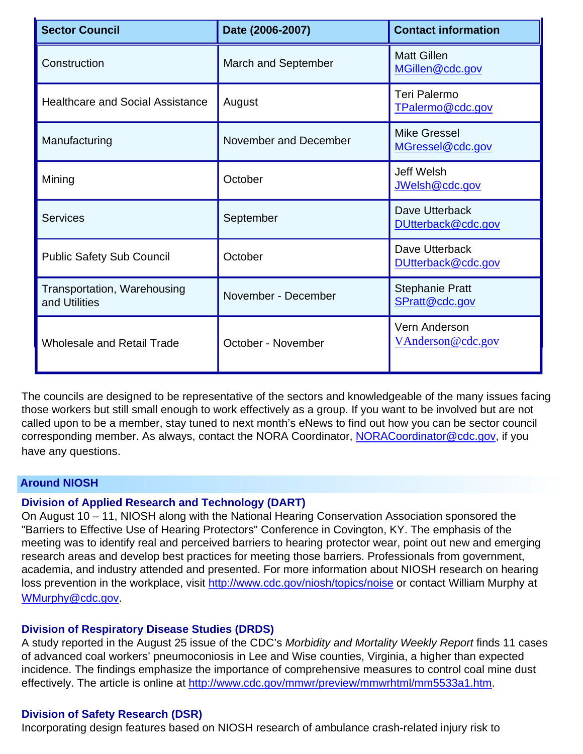| <b>Sector Council</b>                               | Date (2006-2007)      | <b>Contact information</b>               |
|-----------------------------------------------------|-----------------------|------------------------------------------|
| Construction                                        | March and September   | <b>Matt Gillen</b><br>MGillen@cdc.gov    |
| <b>Healthcare and Social Assistance</b>             | August                | Teri Palermo<br>TPalermo@cdc.gov         |
| Manufacturing                                       | November and December | <b>Mike Gressel</b><br>MGressel@cdc.gov  |
| Mining                                              | October               | <b>Jeff Welsh</b><br>JWelsh@cdc.gov      |
| <b>Services</b>                                     | September             | Dave Utterback<br>DUtterback@cdc.gov     |
| <b>Public Safety Sub Council</b>                    | October               | Dave Utterback<br>DUtterback@cdc.gov     |
| <b>Transportation, Warehousing</b><br>and Utilities | November - December   | <b>Stephanie Pratt</b><br>SPratt@cdc.gov |
| <b>Wholesale and Retail Trade</b>                   | October - November    | Vern Anderson<br>VAnderson@cdc.gov       |

The councils are designed to be representative of the sectors and knowledgeable of the many issues facing those workers but still small enough to work effectively as a group. If you want to be involved but are not called upon to be a member, stay tuned to next month's eNews to find out how you can be sector council corresponding member. As always, contact the NORA Coordinator, [NORACoordinator@cdc.gov,](mailto:NORACoordinator@cdc.gov) if you have any questions.

## <span id="page-5-1"></span><span id="page-5-0"></span> **Around NIOSH**

## **Division of Applied Research and Technology (DART)**

On August 10 – 11, NIOSH along with the National Hearing Conservation Association sponsored the "Barriers to Effective Use of Hearing Protectors" Conference in Covington, KY. The emphasis of the meeting was to identify real and perceived barriers to hearing protector wear, point out new and emerging research areas and develop best practices for meeting those barriers. Professionals from government, academia, and industry attended and presented. For more information about NIOSH research on hearing loss prevention in the workplace, visit <http://www.cdc.gov/niosh/topics/noise> or contact William Murphy at [WMurphy@cdc.gov.](mailto:WMurphy@cdc.gov)

#### <span id="page-5-2"></span>**Division of Respiratory Disease Studies (DRDS)**

A study reported in the August 25 issue of the CDC's *Morbidity and Mortality Weekly Report* finds 11 cases of advanced coal workers' pneumoconiosis in Lee and Wise counties, Virginia, a higher than expected incidence. The findings emphasize the importance of comprehensive measures to control coal mine dust effectively. The article is online at [http://www.cdc.gov/mmwr/preview/mmwrhtml/mm5533a1.htm.](http://www.cdc.gov/mmwr/preview/mmwrhtml/mm5533a1.htm)

#### <span id="page-5-3"></span>**Division of Safety Research (DSR)**

Incorporating design features based on NIOSH research of ambulance crash-related injury risk to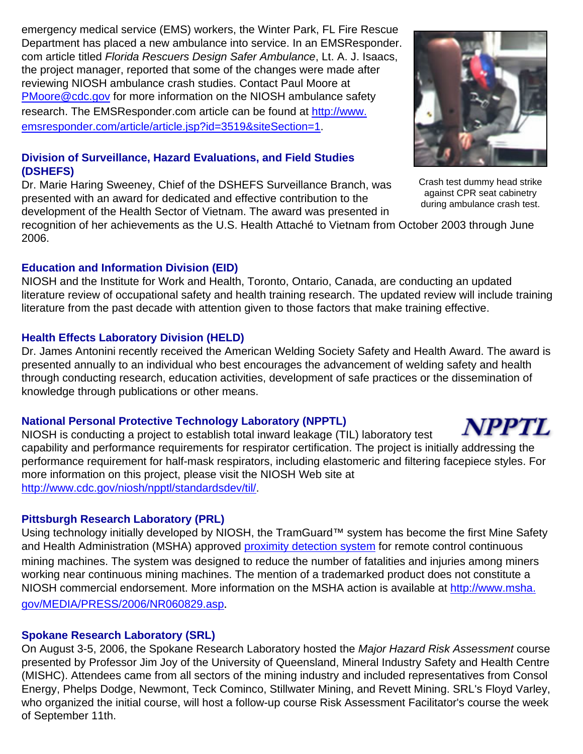emergency medical service (EMS) workers, the Winter Park, FL Fire Rescue Department has placed a new ambulance into service. In an EMSResponder. com article titled *Florida Rescuers Design Safer Ambulance*, Lt. A. J. Isaacs, the project manager, reported that some of the changes were made after reviewing NIOSH ambulance crash studies. Contact Paul Moore at [PMoore@cdc.gov](mailto:PMoore@cdc.gov) for more information on the NIOSH ambulance safety research. The EMSResponder.com article can be found at [http://www.](http://www.emsresponder.com/article/article.jsp?id=3519&siteSection=1) [emsresponder.com/article/article.jsp?id=3519&siteSection=1.](http://www.emsresponder.com/article/article.jsp?id=3519&siteSection=1)

## <span id="page-6-4"></span>**Division of Surveillance, Hazard Evaluations, and Field Studies (DSHEFS)**

Dr. Marie Haring Sweeney, Chief of the DSHEFS Surveillance Branch, was presented with an award for dedicated and effective contribution to the development of the Health Sector of Vietnam. The award was presented in

recognition of her achievements as the U.S. Health Attaché to Vietnam from October 2003 through June 2006.

## <span id="page-6-0"></span>**Education and Information Division (EID)**

NIOSH and the Institute for Work and Health, Toronto, Ontario, Canada, are conducting an updated literature review of occupational safety and health training research. The updated review will include training literature from the past decade with attention given to those factors that make training effective.

## <span id="page-6-1"></span>**Health Effects Laboratory Division (HELD)**

Dr. James Antonini recently received the American Welding Society Safety and Health Award. The award is presented annually to an individual who best encourages the advancement of welding safety and health through conducting research, education activities, development of safe practices or the dissemination of knowledge through publications or other means.

## **National Personal Protective Technology Laboratory (NPPTL)**

<span id="page-6-2"></span>NIOSH is conducting a project to establish total inward leakage (TIL) laboratory test capability and performance requirements for respirator certification. The project is initially addressing the performance requirement for half-mask respirators, including elastomeric and filtering facepiece styles. For more information on this project, please visit the NIOSH Web site at <http://www.cdc.gov/niosh/npptl/standardsdev/til/>.

## <span id="page-6-3"></span>**Pittsburgh Research Laboratory (PRL)**

Using technology initially developed by NIOSH, the TramGuard™ system has become the first Mine Safety and Health Administration (MSHA) approved [proximity detection system](#page-8-7) for remote control continuous mining machines. The system was designed to reduce the number of fatalities and injuries among miners working near continuous mining machines. The mention of a trademarked product does not constitute a NIOSH commercial endorsement. More information on the MSHA action is available at [http://www.msha.](http://www.msha.gov/MEDIA/PRESS/2006/NR060829.asp) [gov/MEDIA/PRESS/2006/NR060829.asp](http://www.msha.gov/MEDIA/PRESS/2006/NR060829.asp).

## <span id="page-6-5"></span>**Spokane Research Laboratory (SRL)**

On August 3-5, 2006, the Spokane Research Laboratory hosted the *Major Hazard Risk Assessment* course presented by Professor Jim Joy of the University of Queensland, Mineral Industry Safety and Health Centre (MISHC). Attendees came from all sectors of the mining industry and included representatives from Consol Energy, Phelps Dodge, Newmont, Teck Cominco, Stillwater Mining, and Revett Mining. SRL's Floyd Varley, who organized the initial course, will host a follow-up course Risk Assessment Facilitator's course the week of September 11th.



Crash test dummy head strike against CPR seat cabinetry during ambulance crash test.



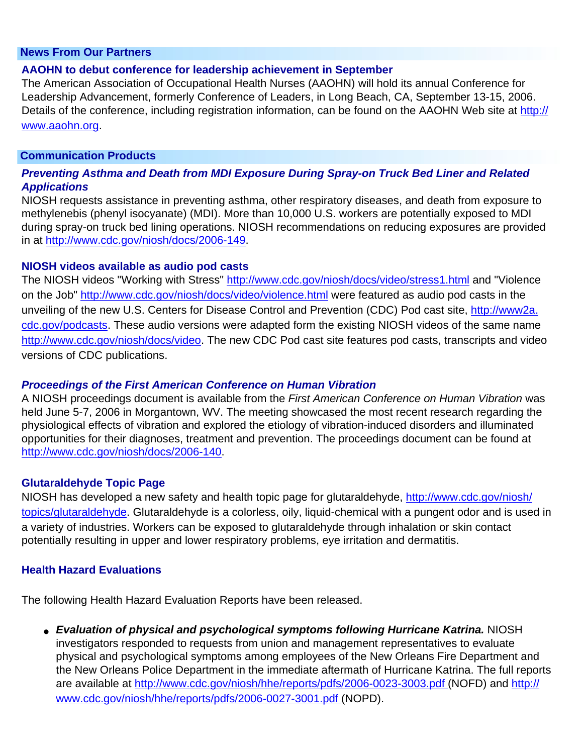#### <span id="page-7-4"></span> **News From Our Partners**

#### <span id="page-7-5"></span>**AAOHN to debut conference for leadership achievement in September**

The American Association of Occupational Health Nurses (AAOHN) will hold its annual Conference for Leadership Advancement, formerly Conference of Leaders, in Long Beach, CA, September 13-15, 2006. Details of the conference, including registration information, can be found on the AAOHN Web site at [http://](http://www.aaohn.org/) [www.aaohn.org.](http://www.aaohn.org/)

#### **Communication Products**

### <span id="page-7-6"></span>*Preventing Asthma and Death from MDI Exposure During Spray-on Truck Bed Liner and Related Applications*

NIOSH requests assistance in preventing asthma, other respiratory diseases, and death from exposure to methylenebis (phenyl isocyanate) (MDI). More than 10,000 U.S. workers are potentially exposed to MDI during spray-on truck bed lining operations. NIOSH recommendations on reducing exposures are provided in at <http://www.cdc.gov/niosh/docs/2006-149>.

#### <span id="page-7-7"></span>**NIOSH videos available as audio pod casts**

The NIOSH videos "Working with Stress"<http://www.cdc.gov/niosh/docs/video/stress1.html> and "Violence on the Job" <http://www.cdc.gov/niosh/docs/video/violence.html>were featured as audio pod casts in the unveiling of the new U.S. Centers for Disease Control and Prevention (CDC) Pod cast site, [http://www2a.](http://www2a.cdc.gov/podcasts) [cdc.gov/podcasts](http://www2a.cdc.gov/podcasts). These audio versions were adapted form the existing NIOSH videos of the same name <http://www.cdc.gov/niosh/docs/video>. The new CDC Pod cast site features pod casts, transcripts and video versions of CDC publications.

#### <span id="page-7-0"></span>*Proceedings of the First American Conference on Human Vibration*

A NIOSH proceedings document is available from the *First American Conference on Human Vibration* was held June 5-7, 2006 in Morgantown, WV. The meeting showcased the most recent research regarding the physiological effects of vibration and explored the etiology of vibration-induced disorders and illuminated opportunities for their diagnoses, treatment and prevention. The proceedings document can be found at [http://www.cdc.gov/niosh/docs/2006-140.](http://www.cdc.gov/niosh/docs/2006-140)

#### <span id="page-7-1"></span>**Glutaraldehyde Topic Page**

NIOSH has developed a new safety and health topic page for glutaraldehyde, [http://www.cdc.gov/niosh/](http://www.cdc.gov/niosh/topics/glutaraldehyde) [topics/glutaraldehyde](http://www.cdc.gov/niosh/topics/glutaraldehyde). Glutaraldehyde is a colorless, oily, liquid-chemical with a pungent odor and is used in a variety of industries. Workers can be exposed to glutaraldehyde through inhalation or skin contact potentially resulting in upper and lower respiratory problems, eye irritation and dermatitis.

#### **Health Hazard Evaluations**

<span id="page-7-2"></span>The following Health Hazard Evaluation Reports have been released.

<span id="page-7-3"></span>● *Evaluation of physical and psychological symptoms following Hurricane Katrina.* NIOSH investigators responded to requests from union and management representatives to evaluate physical and psychological symptoms among employees of the New Orleans Fire Department and the New Orleans Police Department in the immediate aftermath of Hurricane Katrina. The full reports are available at<http://www.cdc.gov/niosh/hhe/reports/pdfs/2006-0023-3003.pdf> (NOFD) and [http://](http://www.cdc.gov/niosh/hhe/reports/pdfs/2006-0027-3001.pdf) [www.cdc.gov/niosh/hhe/reports/pdfs/2006-0027-3001.pdf](http://www.cdc.gov/niosh/hhe/reports/pdfs/2006-0027-3001.pdf) (NOPD).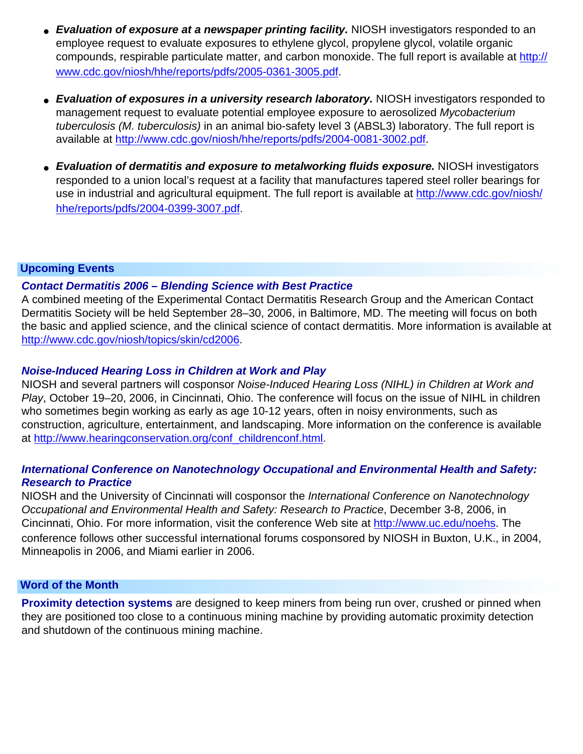- *Evaluation of exposure at a newspaper printing facility.* NIOSH investigators responded to an employee request to evaluate exposures to ethylene glycol, propylene glycol, volatile organic compounds, respirable particulate matter, and carbon monoxide. The full report is available at [http://](http://www.cdc.gov/niosh/hhe/reports/pdfs/2005-0361-3005.pdf) [www.cdc.gov/niosh/hhe/reports/pdfs/2005-0361-3005.pdf](http://www.cdc.gov/niosh/hhe/reports/pdfs/2005-0361-3005.pdf).
- <span id="page-8-0"></span>• *Evaluation of exposures in a university research laboratory.* NIOSH investigators responded to management request to evaluate potential employee exposure to aerosolized *Mycobacterium tuberculosis (M. tuberculosis)* in an animal bio-safety level 3 (ABSL3) laboratory. The full report is available at<http://www.cdc.gov/niosh/hhe/reports/pdfs/2004-0081-3002.pdf>.
- <span id="page-8-1"></span>● *Evaluation of dermatitis and exposure to metalworking fluids exposure.* NIOSH investigators responded to a union local's request at a facility that manufactures tapered steel roller bearings for use in industrial and agricultural equipment. The full report is available at [http://www.cdc.gov/niosh/](http://www.cdc.gov/niosh/hhe/reports/pdfs/2004-0399-3007.pdf) [hhe/reports/pdfs/2004-0399-3007.pdf](http://www.cdc.gov/niosh/hhe/reports/pdfs/2004-0399-3007.pdf).

### <span id="page-8-3"></span> **Upcoming Events**

### <span id="page-8-4"></span>*Contact Dermatitis 2006 – Blending Science with Best Practice*

A combined meeting of the Experimental Contact Dermatitis Research Group and the American Contact Dermatitis Society will be held September 28–30, 2006, in Baltimore, MD. The meeting will focus on both the basic and applied science, and the clinical science of contact dermatitis. More information is available at [http://www.cdc.gov/niosh/topics/skin/cd2006.](http://www.cdc.gov/niosh/topics/skin/cd2006)

### <span id="page-8-5"></span>*Noise-Induced Hearing Loss in Children at Work and Play*

NIOSH and several partners will cosponsor *Noise-Induced Hearing Loss (NIHL) in Children at Work and Play*, October 19–20, 2006, in Cincinnati, Ohio. The conference will focus on the issue of NIHL in children who sometimes begin working as early as age 10-12 years, often in noisy environments, such as construction, agriculture, entertainment, and landscaping. More information on the conference is available at [http://www.hearingconservation.org/conf\\_childrenconf.html](http://www.hearingconservation.org/conf_childrenconf.html).

### <span id="page-8-6"></span>*International Conference on Nanotechnology Occupational and Environmental Health and Safety: Research to Practice*

NIOSH and the University of Cincinnati will cosponsor the *International Conference on Nanotechnology Occupational and Environmental Health and Safety: Research to Practice*, December 3-8, 2006, in Cincinnati, Ohio. For more information, visit the conference Web site at [http://www.uc.edu/noehs.](http://www.uc.edu/noehs) The conference follows other successful international forums cosponsored by NIOSH in Buxton, U.K., in 2004, Minneapolis in 2006, and Miami earlier in 2006.

#### <span id="page-8-2"></span> **Word of the Month**

<span id="page-8-7"></span>**Proximity detection systems** are designed to keep miners from being run over, crushed or pinned when they are positioned too close to a continuous mining machine by providing automatic proximity detection and shutdown of the continuous mining machine.